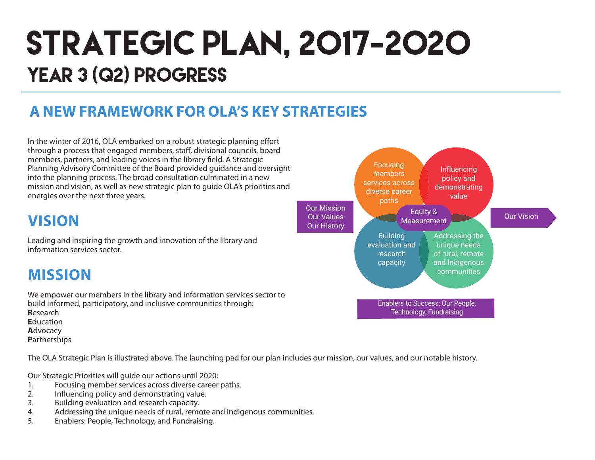# STRATEGIC PLAN, 2017-2020 YEAR 3 (Q2) PROGRESS

### **A NEW FRAMEWORK FOR OLA'S KEY STRATEGIES**

In the winter of 2016, OLA embarked on a robust strategic planning effort through a process that engaged members, staff, divisional councils, board members, partners, and leading voices in the library field. A Strategic Planning Advisory Committee of the Board provided guidance and oversight into the planning process. The broad consultation culminated in a new mission and vision, as well as new strategic plan to guide OLA's priorities and energies over the next three years.

### **VISION**

Leading and inspiring the growth and innovation of the library and information services sector.

### **MISSION**

We empower our members in the library and information services sector to build informed, participatory, and inclusive communities through: **R**esearch **E**ducation **A**dvocacy **P**artnerships

The OLA Strategic Plan is illustrated above. The launching pad for our plan includes our mission, our values, and our notable history.

Our Strategic Priorities will guide our actions until 2020:

- 1. Focusing member services across diverse career paths.
- 2. Influencing policy and demonstrating value.
- 3. Building evaluation and research capacity.
- 4. Addressing the unique needs of rural, remote and indigenous communities.
- 5. Enablers: People, Technology, and Fundraising.

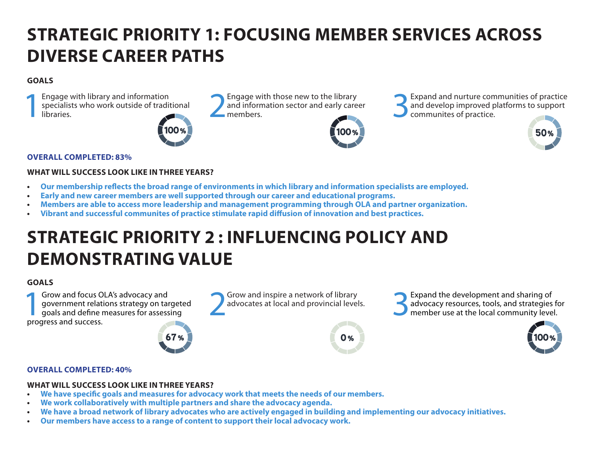# **STRATEGIC PRIORITY 1: FOCUSING MEMBER SERVICES ACROSS DIVERSE CAREER PATHS**

#### **GOALS**

Engage with library and information<br>specialists who work outside of tradit<br>libraries. specialists who work outside of traditional Engage with library and information<br>specialists who work outside of traditional libraries.<br>libraries.<br>members.



and information sector and early career<br>members



Engage with those new to the library<br>and information sector and early career<br>members.<br> $\bigodot$  communites of practice. and develop improved platforms to support communites of practice.



#### **OVERALL COMPLETED: 83%**

#### **WHAT WILL SUCCESS LOOK LIKE IN THREE YEARS?**

- **• Our membership reflects the broad range of environments in which library and information specialists are employed.**
- **• Early and new career members are well supported through our career and educational programs.**
- **• Members are able to access more leadership and management programming through OLA and partner organization.**
- **• Vibrant and successful communites of practice stimulate rapid diffusion of innovation and best practices.**

# **STRATEGIC PRIORITY 2 : INFLUENCING POLICY AND DEMONSTRATING VALUE**

#### **GOALS**

**1Grow and focus OLA's advocacy and<br>
government relations strategy on target<br>
goals and define measures for assessing<br>
progress and success** government relations strategy on targeted progress and success.



Grow and inspire a network of library<br>advocates at local and provincial levels.



Grow and inspire a network of library<br>advocates at local and provincial levels.<br>**3Expand the development and sharing of**<br>advocacy resources, tools, and strategies<br>member use at the local community leve advocacy resources, tools, and strategies for member use at the local community level.



#### **OVERALL COMPLETED: 40%**

#### **WHAT WILL SUCCESS LOOK LIKE IN THREE YEARS?**

- **• We have specific goals and measures for advocacy work that meets the needs of our members.**
- **• We work collaboratively with multiple partners and share the advocacy agenda.**
- **• We have a broad network of library advocates who are actively engaged in building and implementing our advocacy initiatives.**
- **• Our members have access to a range of content to support their local advocacy work.**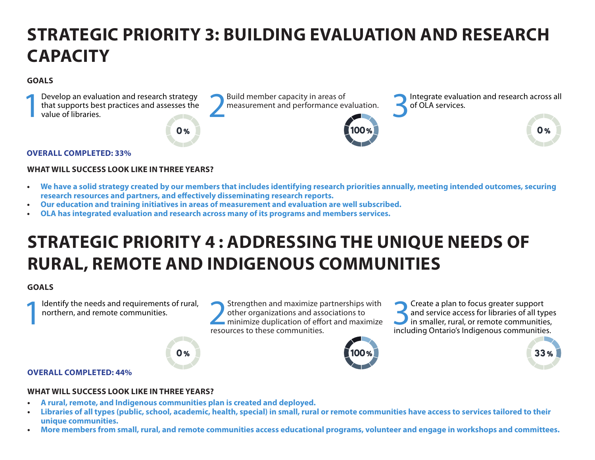# **STRATEGIC PRIORITY 3: BUILDING EVALUATION AND RESEARCH CAPACITY**

#### **GOALS**



#### **OVERALL COMPLETED: 33%**

#### **WHAT WILL SUCCESS LOOK LIKE IN THREE YEARS?**

- **• We have a solid strategy created by our members that includes identifying research priorities annually, meeting intended outcomes, securing research resources and partners, and effectively disseminating research reports.**
- **• Our education and training initiatives in areas of measurement and evaluation are well subscribed.**
- **• OLA has integrated evaluation and research across many of its programs and members services.**

### **STRATEGIC PRIORITY 4 : ADDRESSING THE UNIQUE NEEDS OF RURAL, REMOTE AND INDIGENOUS COMMUNITIES**

#### **GOALS**

Identify the needs and requirements of rural, northern, and remote communities.

Identify the needs and requirements of rural,<br>
northern, and remote communities.<br> **EXECUTES TO DEALLY A PERIMEDIATE PARTLE PARTLE PARTLE PARTLE PARTLE PARTLE PARTLE PARTLE PARTLE PARTLE PARTLE PARTLE PARTLE PARTLE PARTLE P** other organizations and associations to minimize duplication of effort and maximize resources to these communities.

Solution of the set of and service access for libraries of all type in smaller, rural, or remote communities and service access for libraries of all types in smaller, rural, or remote communities, including Ontario's Indigenous communities.



 $33%$ 

#### **OVERALL COMPLETED: 44%**

#### **WHAT WILL SUCCESS LOOK LIKE IN THREE YEARS?**

**• A rural, remote, and Indigenous communities plan is created and deployed.**

 $0%$ 

- **• Libraries of all types (public, school, academic, health, special) in small, rural or remote communities have access to services tailored to their unique communities.**
- **• More members from small, rural, and remote communities access educational programs, volunteer and engage in workshops and committees.**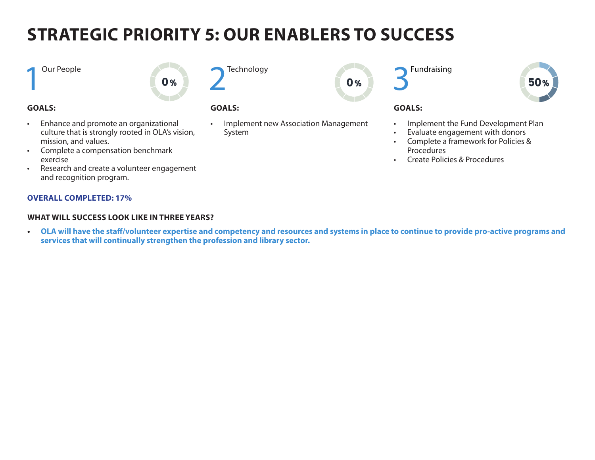# **STRATEGIC PRIORITY 5: OUR ENABLERS TO SUCCESS**

**Technology** 

**1** Our People

#### **GOALS:**

- Enhance and promote an organizational culture that is strongly rooted in OLA's vision, mission, and values.
- Complete a compensation benchmark exercise
- Research and create a volunteer engagement and recognition program.

#### **OVERALL COMPLETED: 17%**

#### **WHAT WILL SUCCESS LOOK LIKE IN THREE YEARS?**

**• OLA will have the staff/volunteer expertise and competency and resources and systems in place to continue to provide pro-active programs and services that will continually strengthen the profession and library sector.**

#### **GOALS:**

 $0%$ 

- Implement new Association Management System
- **Fundraising**



#### **GOALS:**

 $0%$ 

- Implement the Fund Development Plan
- Evaluate engagement with donors
- Complete a framework for Policies & Procedures
- Create Policies & Procedures